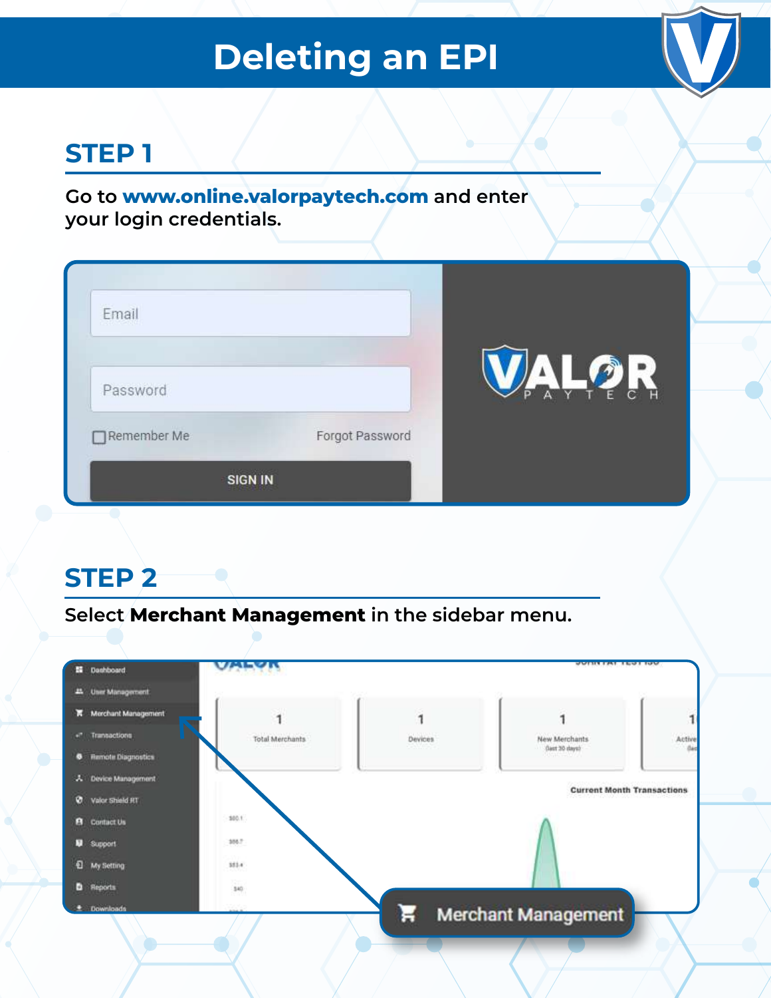# **Deleting an EPI**

## **STEP 1**

**Go to www.online.valorpaytech.com and enter your login credentials.**

| Email       |                 |                                             |
|-------------|-----------------|---------------------------------------------|
| Password    |                 | $\frac{1}{\lambda}$<br>A Y T<br>P.<br>E C H |
| Remember Me | Forgot Password |                                             |

### **STEP 2**

**Select Merchant Management in the sidebar menu.**

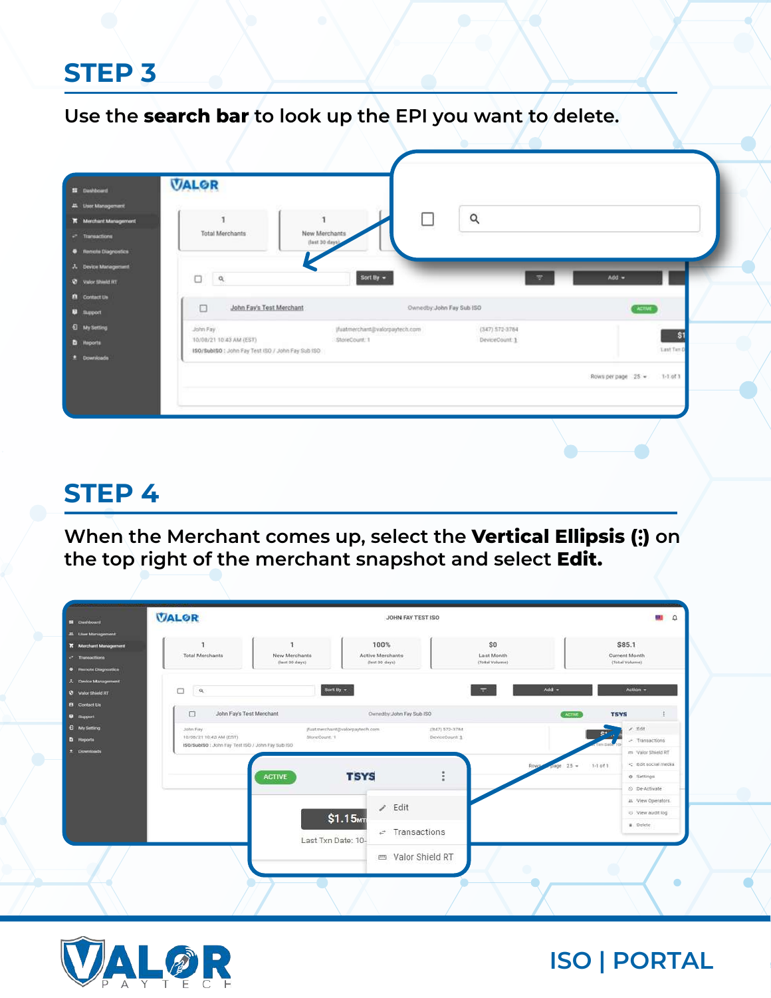#### **Use the search bar to look up the EPI you want to delete.**

| <b>II</b> Dashboard     | <b>VALOR</b>                                      |                                 |                    |                                  |
|-------------------------|---------------------------------------------------|---------------------------------|--------------------|----------------------------------|
| 45 Liser Management     |                                                   |                                 |                    |                                  |
| K Merchant Management   |                                                   | C<br>л                          | $\alpha$           |                                  |
| $e^a$ Transactions      | <b>Total Merchants</b>                            | New Merchants<br>(last 30 days) |                    |                                  |
| C Remote Diagnostics    |                                                   |                                 |                    |                                  |
| A Device Management     |                                                   |                                 |                    |                                  |
| <b>Q</b> valor think RT | $\alpha$<br>o                                     | Sort By $\sim$                  | 度                  | $Add =$                          |
| <b>B</b> Contact Us     |                                                   |                                 |                    |                                  |
| <b>B</b> support        | $\Box$<br>John Fay's Test Merchant                | Ownedby: John Fay Sub 150       |                    | <b>ACTIVE</b>                    |
| <b>C</b> My Setting     | John Fay                                          | jfuatmerchant@valorpaytech.com  | $(347) 572 - 3784$ |                                  |
| <b>b</b> Heporta        | T0/08/21 T0:43 AM (EST)                           | StoreCount: 1                   | DeviceCount 1      | \$1                              |
| * Downloads             | ISO/SubiSO : John Fay Test (SO / John Fay Sub ISO |                                 |                    | <b>Last Text</b>                 |
|                         |                                                   |                                 |                    | Rows per page 25 +<br>$1-1.01.1$ |
|                         |                                                   |                                 |                    |                                  |
|                         |                                                   |                                 |                    |                                  |
|                         |                                                   |                                 |                    |                                  |

# **STEP 4**

**When the Merchant comes up, select the Vertical Ellipsis (:) on the top right of the merchant snapshot and select Edit.** 

| <b>VALOR</b>                                                                             |                                 | JOHN FAY TEST ISO                                  |                                     |                                                  | <b>CLE</b><br>$\Omega$                      |
|------------------------------------------------------------------------------------------|---------------------------------|----------------------------------------------------|-------------------------------------|--------------------------------------------------|---------------------------------------------|
| <b>X</b> Merchant Management<br>Total Merchants                                          | New Merchants<br>(last 30 days) | 100%<br>Active Merchants<br>(laut 30 days)         | \$0<br>Last Month<br>(Total Volume) | \$85.1<br><b>Current Month</b><br>(Total Volume) |                                             |
| O<br>$\mathsf{Q}_i$                                                                      | Sort By $\sim$                  |                                                    | $Add -$<br>Ħ                        |                                                  | Action -                                    |
| □                                                                                        | John Fay's Test Merchant        | Ownedby: John Fay Sub ISO                          |                                     | <b>TSYS</b><br><b>ACTIVE</b>                     |                                             |
| John Fay<br>10/08/21 10:43 AM (EST)<br>ISO/SubISO : John Fay Test ISO / John Fay Sub ISO | StoreCount: 1                   | (fuatmerchant@valorpaytech.com.                    | (347) 572-3784<br>DeviceCount 1     | <b>SP</b>                                        | /500<br>- Tramsactions<br>m Valor Shield RT |
|                                                                                          | <b>ACTIVE</b>                   | <b>TSYS</b>                                        |                                     | $1-1$ of $1$<br>$25 -$<br>age.                   | <b>O</b> Settings<br>O De-Activate          |
|                                                                                          |                                 | $\angle$ Edit                                      |                                     |                                                  | 21. View Operators.<br><br>View audit log   |
|                                                                                          | Last Txn Date: 10-              | \$1.15 <sub>MT</sub><br>$\rightarrow$ Transactions |                                     |                                                  | B Delete                                    |
|                                                                                          |                                 | m Valor Shield RT                                  |                                     |                                                  |                                             |
|                                                                                          |                                 |                                                    |                                     |                                                  |                                             |

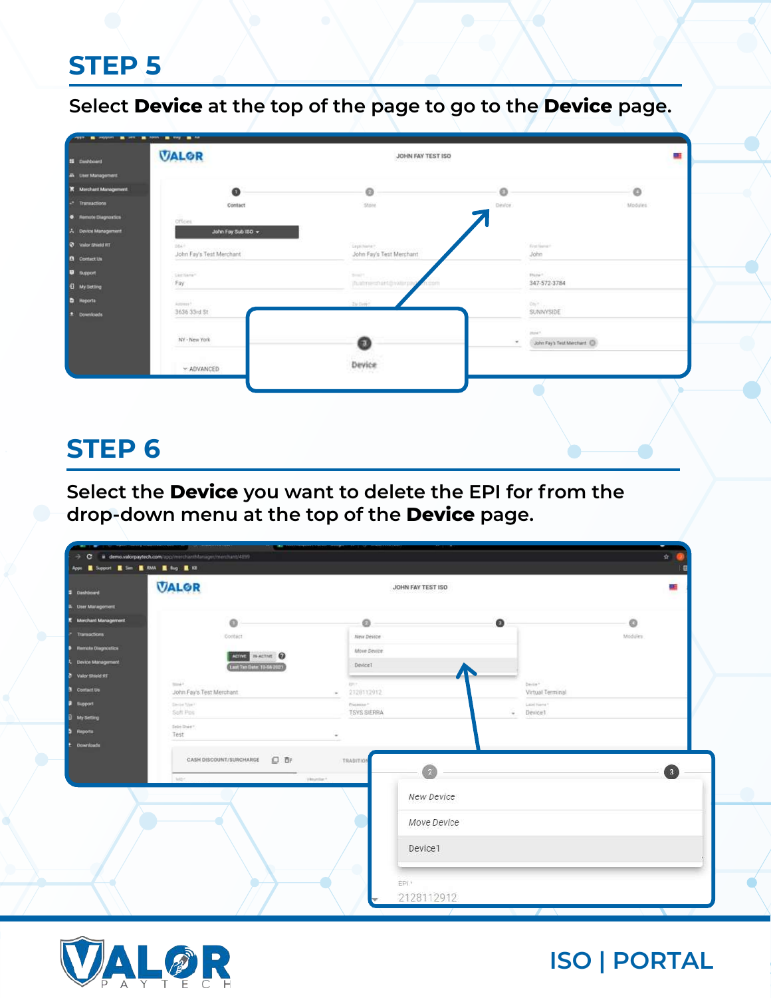**Select Device at the top of the page to go to the Device page.**

| <b>M</b> Dashboard          | <b>VALOR</b>             | JOHN FAY TEST ISO        |                                         |         |
|-----------------------------|--------------------------|--------------------------|-----------------------------------------|---------|
| A User Management           |                          |                          |                                         |         |
| K Merchant Management       | ⋒                        | ø                        | o                                       | $\circ$ |
| <b>Transactions</b>         | Contact                  | Store                    | Device                                  | Modules |
| <b>C</b> Nemote Diagnostics | Officies.                |                          |                                         |         |
| A Device Management         | John Fay Sub ISO +       |                          |                                         |         |
| <b>O</b> Valor Shield RT    | $164 +$                  | Legal Norte ?            | Feet former                             |         |
| <b>B</b> Contact Us         | John Fay's Test Merchant | John Fay's Test Merchant | John                                    |         |
| <b>B</b> Support            | List liang*              | Smith                    | Etune 1                                 |         |
| <b>Q</b> My Setting         | Fay                      | (fuatmerment@vaturpa     | 347-572-3784                            |         |
| <b>D</b> Reports            | Acover?                  | Ivow?                    | Days Louis                              |         |
| E Downloads                 | 3636 33rd St             |                          | SUNNYSIDE                               |         |
|                             |                          |                          | most!                                   |         |
|                             | NY - New York            | 61                       | John Fay's Test Merchard: (D)<br>$\sim$ |         |
|                             |                          |                          |                                         |         |
|                             | - ADVANCED               | Device<br>THE R          |                                         |         |

### **STEP 6**

**Select the Device you want to delete the EPI for from the drop-down menu at the top of the Device page.**

| Dashboard                                         | <b>VALOR</b>                                    | JOHN FAY TEST ISO         |                           | a.               |
|---------------------------------------------------|-------------------------------------------------|---------------------------|---------------------------|------------------|
| <b>A</b> User Management<br>K Merchard Management | ഒ                                               | $\circ$                   | $\bullet$                 | ø                |
| <b>Tramactions</b>                                | Contact                                         | New Device                |                           | Modules          |
| <b>0</b> Nemate Olegnostics                       |                                                 | Move Device               |                           |                  |
| A Device Management                               | Adine WATHE O                                   | DeviceT                   |                           |                  |
| 79 Valor Shield RT                                | Last Tan Date: 10-08 2021                       |                           |                           |                  |
| <b>3</b> Contact Us                               | took <sup>4</sup> .<br>John Fay's Test Merchant | <b>BRY</b><br>2128112912  | bein*<br>Virtual Terminal |                  |
| <b>B</b> Support                                  | Similar Week                                    | Pricessor*                | Lexi Kimi                 |                  |
| <b>D</b> My Setting                               | Soft Pos                                        | <b>TSYS SIERRA</b>        | ÷<br>Device1              |                  |
| <b>b</b> Reports                                  | Drift Draw<br>Test                              |                           |                           |                  |
| <b>E</b> Downloads                                | CASH DISCOUNT/SURCHARGE<br>口手<br>high           | TRADITION<br>Vitrominar * |                           | $\left(3\right)$ |
|                                                   |                                                 | New Device                |                           |                  |
|                                                   |                                                 | Move Device               |                           |                  |
|                                                   |                                                 | Device1                   |                           |                  |

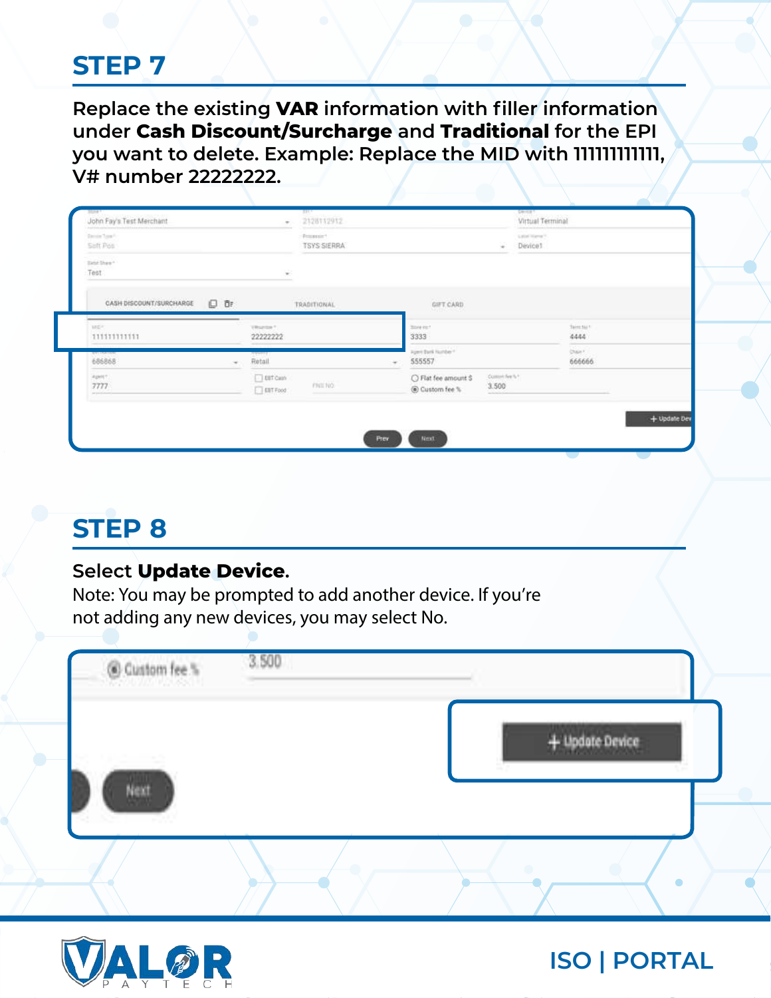**Replace the existing VAR information with filler information under Cash Discount/Surcharge and Traditional for the EPI you want to delete. Example: Replace the MID with 111111111111, V# number 22222222.**

| Suft Pos<br><b>ANTIQUES</b>                                                    |                                      | <b>TSYS SIERRA</b>                      |                                        | Device1<br>$\overline{\phantom{a}}$     |                           |
|--------------------------------------------------------------------------------|--------------------------------------|-----------------------------------------|----------------------------------------|-----------------------------------------|---------------------------|
| Tatal Shaw 1<br>Test                                                           |                                      | $\sim$<br>$\mathcal{C}$                 |                                        |                                         |                           |
| CASH DISCOUNT/SURCHARGE                                                        | □ 日                                  | <b>CONTRACTOR</b><br><b>TRADITIONAL</b> | GIFT CARD<br><b>AVIDANCE</b>           |                                         |                           |
| ___<br>MEF.<br>11111111111<br><b>The Company of the Company of the Company</b> | Vitamin 1                            | 22222222                                | <b>Since ex-1</b><br>3333              |                                         | Teles for 1<br>4444<br>-- |
| <b>National</b><br>686868                                                      | <b>STEPHEN</b><br>Retail<br>$\infty$ |                                         | Apert Bank Humber 1<br>555557          |                                         | <b>Chair</b><br>666666    |
| April 1<br>7777<br>perpension                                                  |                                      | $\Box$ EBT Cash<br>FRIENO<br>EBT Food   | C Flat fee amount \$<br>@ Custom fee % | Costeriors %*<br>3.500<br>and a look of |                           |
|                                                                                |                                      |                                         |                                        |                                         | + Update Dev              |

## **STEP 8**

#### **Select Update Device.**

*Note: You may be prompted to add another device. If you're not adding any new devices, you may select No.*

| @ Custom fee % | 3.500 |  |                   |  |
|----------------|-------|--|-------------------|--|
| Next           |       |  | $+$ Update Device |  |
|                |       |  | ÷                 |  |

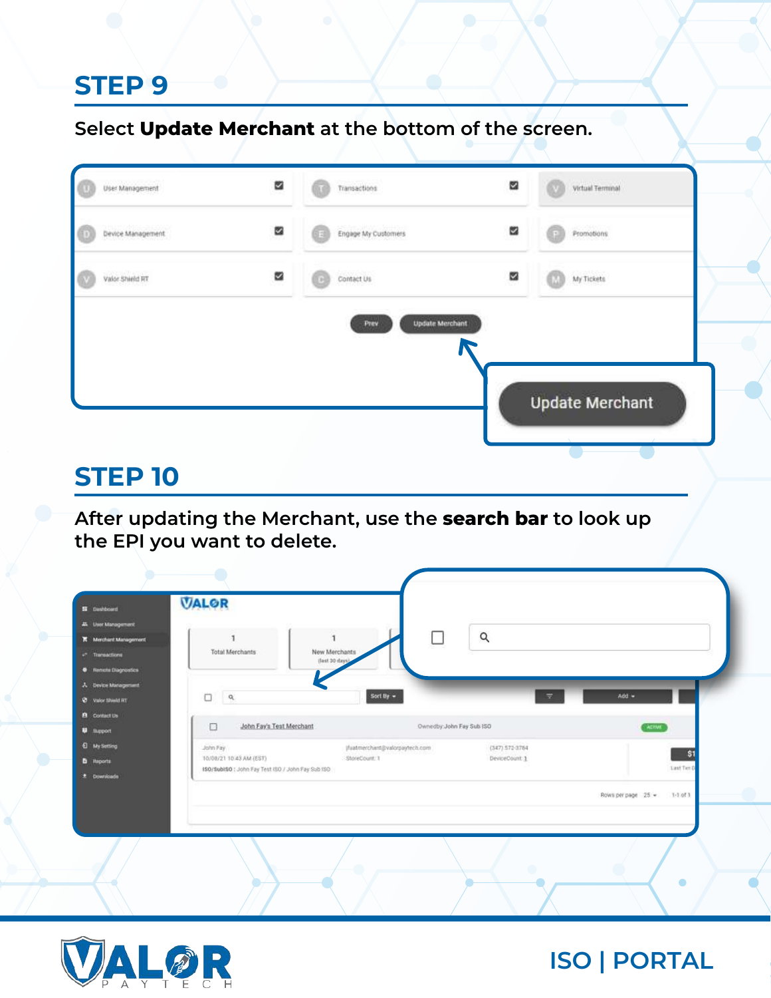**Select Update Merchant at the bottom of the screen.**

| Engage My Customers<br>Contact Us | Promotions<br>図<br>My Tickets<br>ø |                        |
|-----------------------------------|------------------------------------|------------------------|
|                                   |                                    |                        |
|                                   |                                    |                        |
| <b>Update Merchant</b><br>Prev    |                                    |                        |
|                                   |                                    |                        |
|                                   |                                    |                        |
|                                   |                                    | <b>Update Merchant</b> |

#### **STEP 10**

**After updating the Merchant, use the search bar to look up the EPI you want to delete.**

| <b>II</b> Dashboard                                                           | <b>VALOR</b>                                                                             |                                                                                        |                                  |
|-------------------------------------------------------------------------------|------------------------------------------------------------------------------------------|----------------------------------------------------------------------------------------|----------------------------------|
| 44 Liser Management<br>K Merchant Management<br>$r^*$ Transactions            | л<br>٠<br><b>Total Merchants</b><br>New Merchants<br>(last 30 days)                      | $\alpha$                                                                               |                                  |
| <b>C</b> Remote Diagnostics<br>A Device Management<br><b>Q</b> valor think RT | о<br>$\alpha$                                                                            | Sort By $\sim$<br>$\equiv$                                                             | Add =                            |
| <b>B</b> Contact Us<br><b>D</b> support                                       | John Fay's Test Merchant<br>$\Box$                                                       | Ownedby: John Fay Sub 150                                                              | ATIM                             |
| <b>Q</b> My Setting<br><b>b</b> Heporta<br>2 Downloads                        | John Fay<br>T0/08/21 10:43 AM (EST)<br>ISO/SubiSO : John Fay Test (SO / John Fay Sub (SO | (fuatmerchant@valorpaytech.com<br>$(347) 572 - 3784$<br>StoreCount: 1<br>DeviceCount 1 | \$1<br><b>Last Tax D</b>         |
|                                                                               |                                                                                          |                                                                                        | Rows per page 25 +<br>$1-1.01.1$ |
|                                                                               |                                                                                          |                                                                                        |                                  |

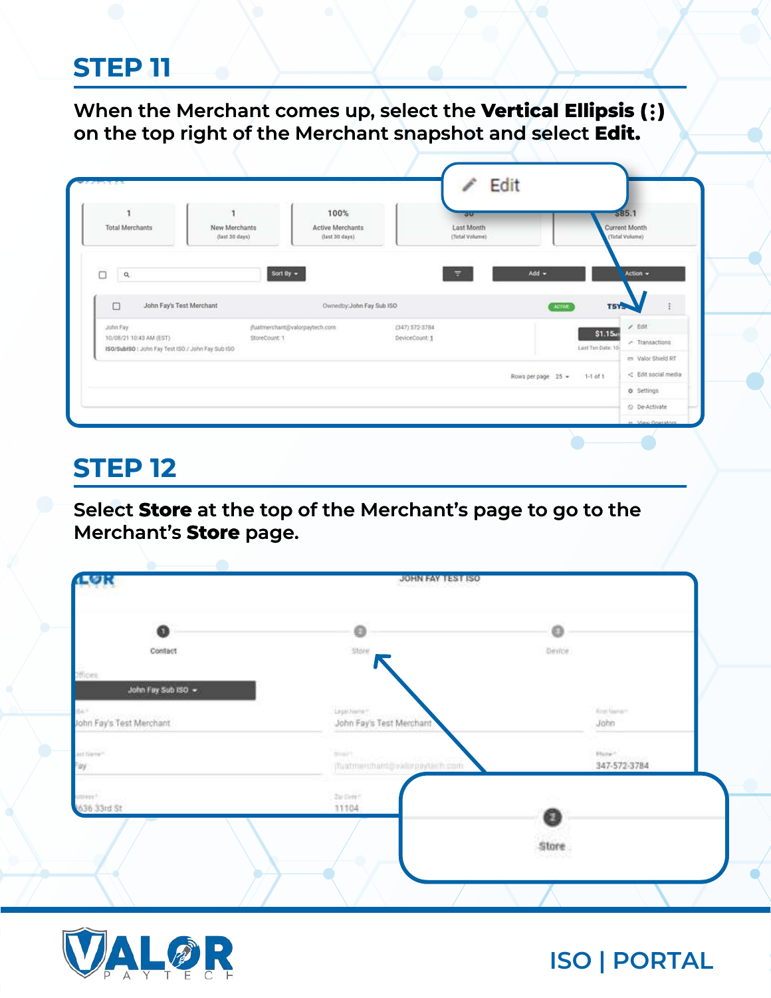**When the Merchant comes up, select the Vertical Ellipsis ( ) on the top right of the Merchant snapshot and select Edit.**

|                                                   |                                 | 100%                                      | <b>OU</b>                    |                             | 585.1                           |                     |
|---------------------------------------------------|---------------------------------|-------------------------------------------|------------------------------|-----------------------------|---------------------------------|---------------------|
| Total Merchants                                   | New Merchants<br>(last 30 days) | <b>Active Merchants</b><br>(last 30 days) | Last Month<br>(Total Volume) |                             | Current Month<br>(Total Volume) |                     |
| $\Box$<br>$\alpha$                                |                                 | Sort By $\sim$                            | ٣                            | $Add -$                     |                                 | Action $\sim$       |
|                                                   |                                 |                                           |                              |                             |                                 |                     |
| $\Box$                                            | John Fay's Test Merchant        | Ownedby: John Fay Sub ISO                 |                              | <b>ACTIVE</b>               | <b>TSYS</b>                     |                     |
|                                                   |                                 |                                           |                              |                             |                                 | $/$ Edit            |
| John Fay                                          |                                 | (fuatmerchant@valorpaytech.com            | $(347) 572 - 3784$           |                             |                                 |                     |
| 10/08/21 10:43 AM (EST)                           | StoreCount: 1                   |                                           | DeviceCount: 1               |                             | \$1.15mm                        | - Transactions      |
| ISO/SubISO : John Fay Test ISO / John Fay Sub ISO |                                 |                                           |                              |                             | Last Tan Date: 10               | = Valor Shield RT   |
|                                                   |                                 |                                           |                              | Rows per page 25 = 1-1 of 1 |                                 | < Edit social media |

### **STEP 12**

**Select Store at the top of the Merchant's page to go to the Merchant's Store page.**

| LØR                                       | JOHN FAY TEST ISO                |         |                        |
|-------------------------------------------|----------------------------------|---------|------------------------|
| 0                                         | ø                                | $\circ$ |                        |
| Contact                                   | Store.                           | Device  |                        |
| Officies.                                 |                                  |         |                        |
| John Fay Sub ISO +                        |                                  |         |                        |
| 1047                                      | Leptcheria **                    |         | festiver.              |
| John Fay's Test Merchant                  | John Fay's Test Merchant         |         | John                   |
| arthware.                                 | $2 - 1$                          |         | $\mathsf{Puler}^{(n)}$ |
| Fay                                       | jfluidmerchant@vattmpaytinch.com |         | 347-572-3784           |
|                                           |                                  |         |                        |
| <b>STORES</b> <sup>4</sup><br>636 33rd St | $2\mu$ Dyle<br>11104             |         |                        |
|                                           |                                  | 0       |                        |
|                                           |                                  | Store   |                        |
|                                           |                                  | 540000  |                        |
|                                           |                                  |         |                        |
|                                           |                                  |         |                        |

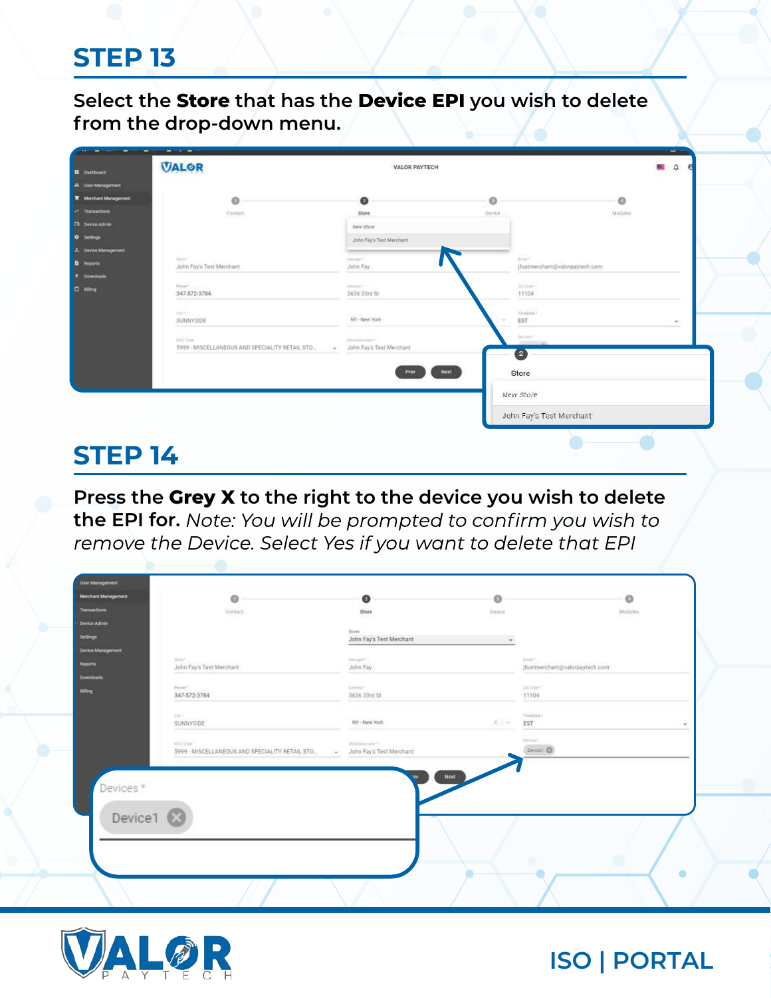**Select the Store that has the Device EPI you wish to delete from the drop-down menu.**

| <b>B</b> Deshboard         | -<br>$-$<br><b>VALOR</b>                                     | VALOR PAYTECH                                                     |                               | <b>SHARR</b><br>۵<br>5. Li     |
|----------------------------|--------------------------------------------------------------|-------------------------------------------------------------------|-------------------------------|--------------------------------|
| 44 User Management         |                                                              |                                                                   |                               |                                |
| K Merchant Management      | ø                                                            | $\bullet$                                                         | $\circ$                       | $\circ$                        |
| Transactions               | Contact:                                                     | Store                                                             | Device.                       | Modules                        |
| Ell Device Admin           |                                                              | New Store                                                         |                               |                                |
| <b>O</b> Settings          |                                                              | John Fay's Test Merchant                                          |                               |                                |
| <b>A</b> Davice Management |                                                              |                                                                   |                               |                                |
| <b>D</b> Reports           | Settleman sound<br>John Fay's Test Merchant                  | Manager?<br>John Fay                                              | <b>Single</b>                 | jfuatmerchant@valorpaytech.com |
| <sup>2</sup> Downloads     |                                                              |                                                                   |                               |                                |
| <b>D</b> Blog              | Phone F.<br>347-572-3784                                     | Antenn<br>3636 33rd St                                            | <b>Subset</b><br>11104        |                                |
|                            |                                                              |                                                                   | -----                         |                                |
|                            | Did<br>SUNNYSIDE                                             | 1972-1971<br>NY-New York                                          | Textire <sup>4</sup><br>EST   | $\sim$                         |
|                            | AICE Clubs<br>5999 - MISCELLANEOUS AND SPECIALITY RETAIL STO | Steelbesmann <sup>4</sup><br>John Fay's Test Merchant<br>$\sim$ . | Deniser.<br><b>JAMES</b><br>Ø |                                |
|                            |                                                              | Poew                                                              | Next<br>Store                 |                                |
|                            |                                                              |                                                                   | New Store                     |                                |
|                            |                                                              |                                                                   | John Fay's Test Merchant      |                                |

### **STEP 14**

**Press the Grey X to the right to the device you wish to delete**  the EPI for. Note: You will be prompted to confirm you wish to remove the Device. Select Yes if you want to delete that EPI

| Transactions         | O<br>Dontact                                                       | $\bullet$<br>Store                                 | ۰<br>Device              |                                                        | $\circ$<br>Modules |
|----------------------|--------------------------------------------------------------------|----------------------------------------------------|--------------------------|--------------------------------------------------------|--------------------|
| Device Admin         |                                                                    |                                                    |                          |                                                        |                    |
| <b>Settlege</b>      |                                                                    | Stores<br>John Fay's Test Merchant                 | $\overline{\phantom{a}}$ |                                                        |                    |
| Device Management    |                                                                    |                                                    |                          |                                                        |                    |
| <b>Heparts</b>       | 2000<br>John Fay's Test Merchant                                   | Manager?<br>John Fay                               |                          | $2.1 \times 10^{-4}$<br>jfuatmerchant@valorpaytech.com |                    |
| Downloads            |                                                                    |                                                    |                          |                                                        |                    |
|                      | Friend,<br>347-572-3784                                            | luiziesi f<br>3636 33rd St                         |                          | Di-Dide"<br>11104                                      |                    |
|                      | $\langle 2 \rangle^+$<br>SUNNYSIDE<br>--                           | NY - New York                                      | 美国                       | TereZina *<br>EST                                      |                    |
|                      | <b>KIDC-Dida</b><br>5999 - MISCELLANEOUS AND SPECIALITY RETAIL STO | Dire Desmann<br>John Fay's Test Merchant<br>100.00 |                          | <b>Benedit</b><br>Devost @                             |                    |
|                      |                                                                    | <b>Next</b>                                        |                          |                                                        |                    |
| Devices*             |                                                                    |                                                    |                          |                                                        |                    |
|                      |                                                                    |                                                    |                          |                                                        |                    |
| Device1 <sup>3</sup> |                                                                    |                                                    |                          |                                                        |                    |
|                      |                                                                    |                                                    |                          |                                                        |                    |
|                      |                                                                    |                                                    |                          | ۰                                                      |                    |